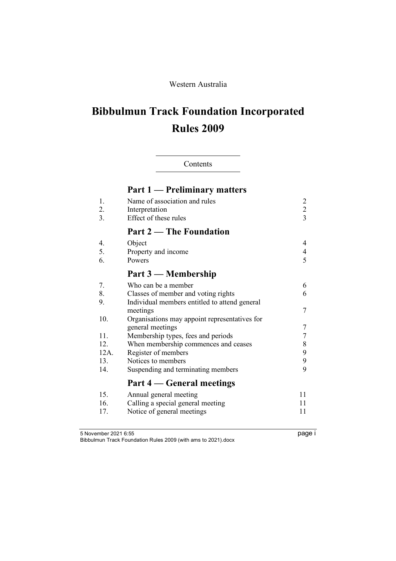# Western Australia

# **Bibbulmun Track Foundation Incorporated Rules 2009**

# Contents

|                       | <b>Part 1 — Preliminary matters</b>                                                                                     |                                       |
|-----------------------|-------------------------------------------------------------------------------------------------------------------------|---------------------------------------|
| 1.<br>2.<br>3.        | Name of association and rules<br>Interpretation<br>Effect of these rules                                                | $\overline{c}$<br>$\overline{c}$<br>3 |
|                       | <b>Part 2 — The Foundation</b>                                                                                          |                                       |
| 4.<br>5.<br>6.        | Object<br>Property and income<br>Powers                                                                                 | $\overline{4}$<br>$\overline{4}$<br>5 |
|                       | Part 3 — Membership                                                                                                     |                                       |
| 7.<br>8.<br>9.        | Who can be a member<br>Classes of member and voting rights<br>Individual members entitled to attend general<br>meetings | 6<br>6<br>$\overline{7}$              |
| 10.                   | Organisations may appoint representatives for<br>general meetings                                                       | $\overline{7}$                        |
| 11.<br>12.<br>$12A$ . | Membership types, fees and periods<br>When membership commences and ceases<br>Register of members                       | 7<br>8<br>9                           |
| 13.<br>14.            | Notices to members<br>Suspending and terminating members                                                                | 9<br>9                                |
|                       | Part 4 — General meetings                                                                                               |                                       |
| 15.<br>16.<br>17.     | Annual general meeting<br>Calling a special general meeting<br>Notice of general meetings                               | 11<br>11<br>11                        |

5 November 2021 6:55 page i Bibbulmun Track Foundation Rules 2009 (with ams to 2021).docx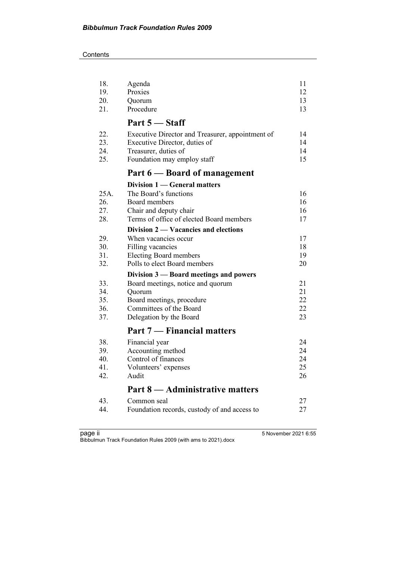**Contents** 

| 18.<br>19. | Agenda<br>Proxies                                | 11<br>12 |
|------------|--------------------------------------------------|----------|
| 20.        | Quorum                                           | 13       |
| 21.        | Procedure                                        | 13       |
|            | Part 5 – Staff                                   |          |
| 22.        | Executive Director and Treasurer, appointment of | 14       |
| 23.        | Executive Director, duties of                    | 14       |
| 24.        | Treasurer, duties of                             | 14       |
| 25.        | Foundation may employ staff                      | 15       |
|            | Part 6 – Board of management                     |          |
|            | Division 1 — General matters                     |          |
| 25A.       | The Board's functions                            | 16       |
| 26.        | Board members                                    | 16       |
| 27.        | Chair and deputy chair                           | 16       |
| 28.        | Terms of office of elected Board members         | 17       |
|            | Division 2 — Vacancies and elections             |          |
| 29.        | When vacancies occur                             | 17       |
| 30.        | Filling vacancies                                | 18       |
| 31.        | <b>Electing Board members</b>                    | 19       |
| 32.        | Polls to elect Board members                     | 20       |
|            | Division 3 — Board meetings and powers           |          |
| 33.        | Board meetings, notice and quorum                | 21       |
| 34.        | Quorum                                           | 21       |
| 35.        | Board meetings, procedure                        | 22       |
| 36.        | Committees of the Board                          | 22       |
| 37.        | Delegation by the Board                          | 23       |
|            | Part 7 — Financial matters                       |          |
| 38.        | Financial year                                   | 24       |
| 39.        | Accounting method                                | 24       |
| 40.        | Control of finances                              | 24       |
| 41.        | Volunteers' expenses                             | 25       |
| 42.        | Audit                                            | 26       |
|            | Part 8 — Administrative matters                  |          |
| 43.        | Common seal                                      | 27       |
| 44.        | Foundation records, custody of and access to     | 27       |
|            |                                                  |          |

page ii 5 November 2021 6:55 Bibbulmun Track Foundation Rules 2009 (with ams to 2021).docx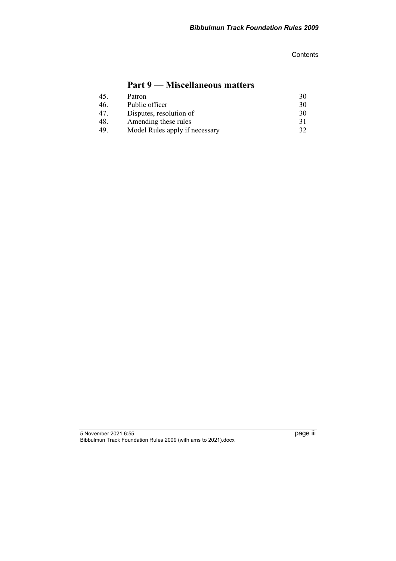**Contents** 

# **Part 9 — Miscellaneous matters**

| 45. | Patron                         | 30 |
|-----|--------------------------------|----|
| 46. | Public officer                 | 30 |
| 47. | Disputes, resolution of        | 30 |
| 48. | Amending these rules           | 31 |
| 49  | Model Rules apply if necessary | 32 |

5 November 2021 6:55 page iii Bibbulmun Track Foundation Rules 2009 (with ams to 2021).docx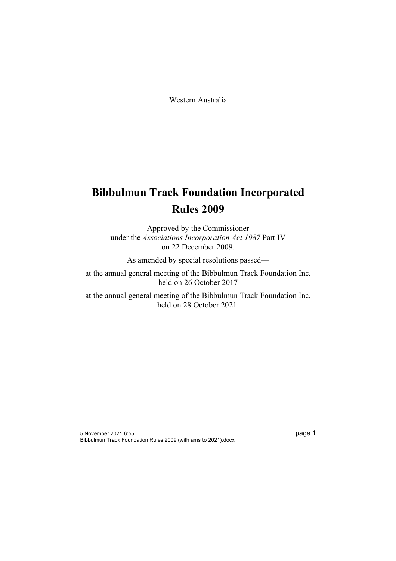Western Australia

# **Bibbulmun Track Foundation Incorporated Rules 2009**

Approved by the Commissioner under the *Associations Incorporation Act 1987* Part IV on 22 December 2009.

As amended by special resolutions passed—

at the annual general meeting of the Bibbulmun Track Foundation Inc. held on 26 October 2017

at the annual general meeting of the Bibbulmun Track Foundation Inc. held on 28 October 2021.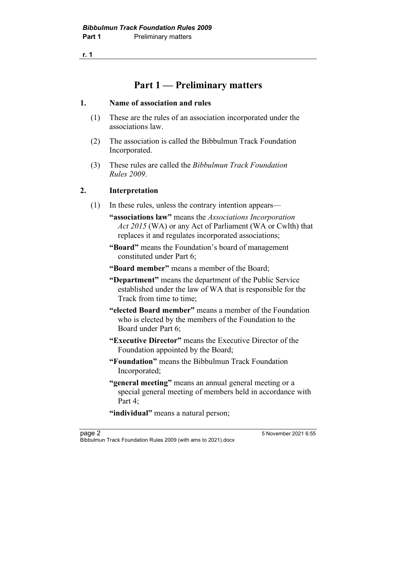# **Part 1 — Preliminary matters**

### **1. Name of association and rules**

- (1) These are the rules of an association incorporated under the associations law.
- (2) The association is called the Bibbulmun Track Foundation Incorporated.
- (3) These rules are called the *Bibbulmun Track Foundation Rules 2009*.

# **2. Interpretation**

- (1) In these rules, unless the contrary intention appears—
	- **"associations law"** means the *Associations Incorporation Act 2015* (WA) or any Act of Parliament (WA or Cwlth) that replaces it and regulates incorporated associations;
	- **"Board"** means the Foundation's board of management constituted under Part 6;
	- **"Board member"** means a member of the Board;
	- **"Department"** means the department of the Public Service established under the law of WA that is responsible for the Track from time to time;
	- **"elected Board member"** means a member of the Foundation who is elected by the members of the Foundation to the Board under Part 6;
	- **"Executive Director"** means the Executive Director of the Foundation appointed by the Board;
	- **"Foundation"** means the Bibbulmun Track Foundation Incorporated;
	- **"general meeting"** means an annual general meeting or a special general meeting of members held in accordance with Part 4:

"individual" means a natural person;

page 2 5 November 2021 6:55 Bibbulmun Track Foundation Rules 2009 (with ams to 2021).docx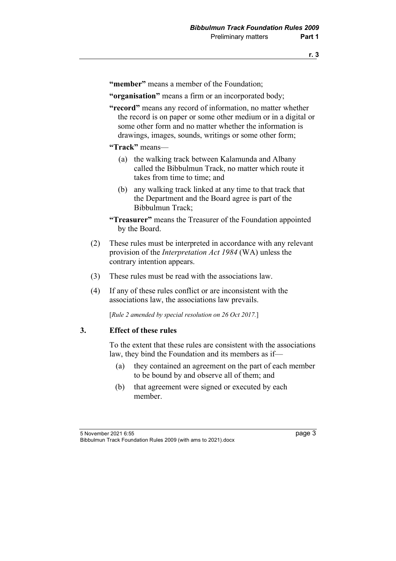**"member"** means a member of the Foundation;

**"organisation"** means a firm or an incorporated body;

- **"record"** means any record of information, no matter whether the record is on paper or some other medium or in a digital or some other form and no matter whether the information is drawings, images, sounds, writings or some other form;
- **"Track"** means—
	- (a) the walking track between Kalamunda and Albany called the Bibbulmun Track, no matter which route it takes from time to time; and
	- (b) any walking track linked at any time to that track that the Department and the Board agree is part of the Bibbulmun Track;

**"Treasurer"** means the Treasurer of the Foundation appointed by the Board.

- (2) These rules must be interpreted in accordance with any relevant provision of the *Interpretation Act 1984* (WA) unless the contrary intention appears.
- (3) These rules must be read with the associations law.
- (4) If any of these rules conflict or are inconsistent with the associations law, the associations law prevails.

[*Rule 2 amended by special resolution on 26 Oct 2017.*]

#### **3. Effect of these rules**

To the extent that these rules are consistent with the associations law, they bind the Foundation and its members as if—

- (a) they contained an agreement on the part of each member to be bound by and observe all of them; and
- (b) that agreement were signed or executed by each member.

5 November 2021 6:55 page 3 Bibbulmun Track Foundation Rules 2009 (with ams to 2021).docx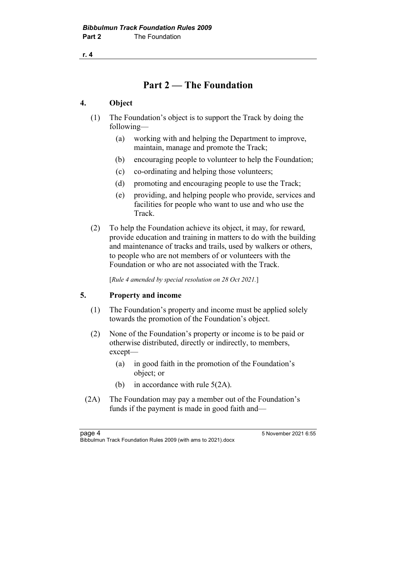# **Part 2 — The Foundation**

# **4. Object**

- (1) The Foundation's object is to support the Track by doing the following—
	- (a) working with and helping the Department to improve, maintain, manage and promote the Track;
	- (b) encouraging people to volunteer to help the Foundation;
	- (c) co-ordinating and helping those volunteers;
	- (d) promoting and encouraging people to use the Track;
	- (e) providing, and helping people who provide, services and facilities for people who want to use and who use the **Track**
- (2) To help the Foundation achieve its object, it may, for reward, provide education and training in matters to do with the building and maintenance of tracks and trails, used by walkers or others, to people who are not members of or volunteers with the Foundation or who are not associated with the Track.

[*Rule 4 amended by special resolution on 28 Oct 2021.*]

# **5. Property and income**

- (1) The Foundation's property and income must be applied solely towards the promotion of the Foundation's object.
- (2) None of the Foundation's property or income is to be paid or otherwise distributed, directly or indirectly, to members, except—
	- (a) in good faith in the promotion of the Foundation's object; or
	- (b) in accordance with rule 5(2A).
- (2A) The Foundation may pay a member out of the Foundation's funds if the payment is made in good faith and—

page 4 5 November 2021 6:55 Bibbulmun Track Foundation Rules 2009 (with ams to 2021).docx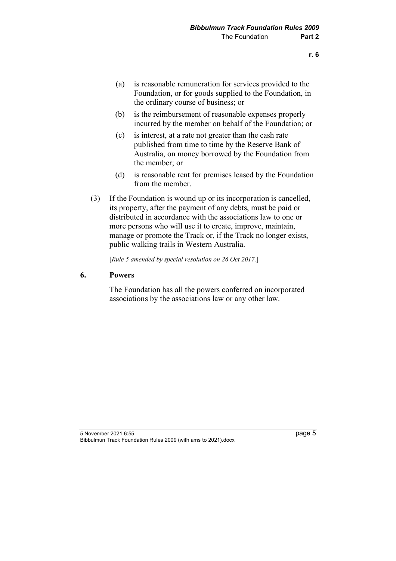- (a) is reasonable remuneration for services provided to the Foundation, or for goods supplied to the Foundation, in the ordinary course of business; or
- (b) is the reimbursement of reasonable expenses properly incurred by the member on behalf of the Foundation; or
- (c) is interest, at a rate not greater than the cash rate published from time to time by the Reserve Bank of Australia, on money borrowed by the Foundation from the member; or
- (d) is reasonable rent for premises leased by the Foundation from the member.
- (3) If the Foundation is wound up or its incorporation is cancelled, its property, after the payment of any debts, must be paid or distributed in accordance with the associations law to one or more persons who will use it to create, improve, maintain, manage or promote the Track or, if the Track no longer exists, public walking trails in Western Australia.

[*Rule 5 amended by special resolution on 26 Oct 2017.*]

#### **6. Powers**

The Foundation has all the powers conferred on incorporated associations by the associations law or any other law.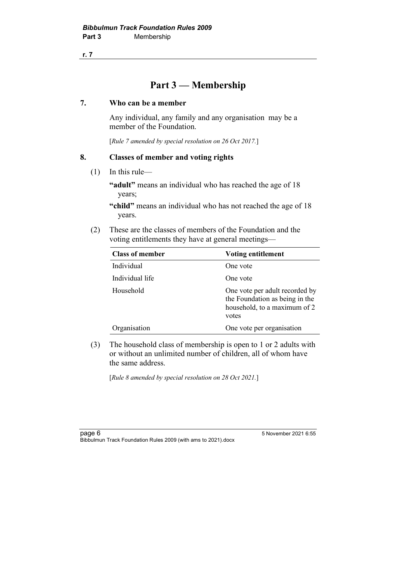# **Part 3 — Membership**

## **7. Who can be a member**

Any individual, any family and any organisation may be a member of the Foundation.

[*Rule 7 amended by special resolution on 26 Oct 2017.*]

# **8. Classes of member and voting rights**

(1) In this rule—

**"adult"** means an individual who has reached the age of 18 years;

**"child"** means an individual who has not reached the age of 18 years.

(2) These are the classes of members of the Foundation and the voting entitlements they have at general meetings—

| <b>Class of member</b> | <b>Voting entitlement</b>                                                                                 |
|------------------------|-----------------------------------------------------------------------------------------------------------|
| Individual             | One vote                                                                                                  |
| Individual life        | One vote                                                                                                  |
| Household              | One vote per adult recorded by<br>the Foundation as being in the<br>household, to a maximum of 2<br>votes |
| Organisation           | One vote per organisation                                                                                 |

(3) The household class of membership is open to 1 or 2 adults with or without an unlimited number of children, all of whom have the same address.

[*Rule 8 amended by special resolution on 28 Oct 2021.*]

page 6 5 November 2021 6:55 Bibbulmun Track Foundation Rules 2009 (with ams to 2021).docx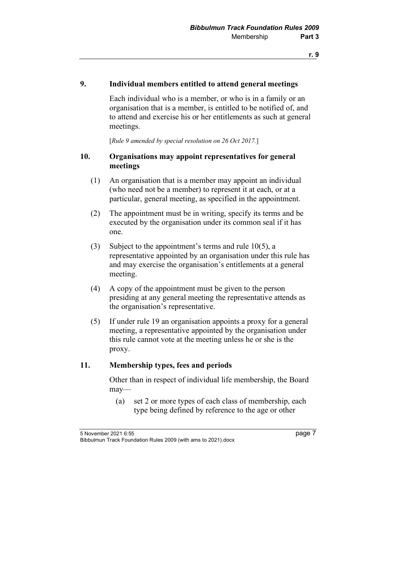#### **9. Individual members entitled to attend general meetings**

Each individual who is a member, or who is in a family or an organisation that is a member, is entitled to be notified of, and to attend and exercise his or her entitlements as such at general meetings.

[*Rule 9 amended by special resolution on 26 Oct 2017.*]

#### **10. Organisations may appoint representatives for general meetings**

- (1) An organisation that is a member may appoint an individual (who need not be a member) to represent it at each, or at a particular, general meeting, as specified in the appointment.
- (2) The appointment must be in writing, specify its terms and be executed by the organisation under its common seal if it has one.
- (3) Subject to the appointment's terms and rule 10(5), a representative appointed by an organisation under this rule has and may exercise the organisation's entitlements at a general meeting.
- (4) A copy of the appointment must be given to the person presiding at any general meeting the representative attends as the organisation's representative.
- (5) If under rule 19 an organisation appoints a proxy for a general meeting, a representative appointed by the organisation under this rule cannot vote at the meeting unless he or she is the proxy.

#### **11. Membership types, fees and periods**

Other than in respect of individual life membership, the Board may—

(a) set 2 or more types of each class of membership, each type being defined by reference to the age or other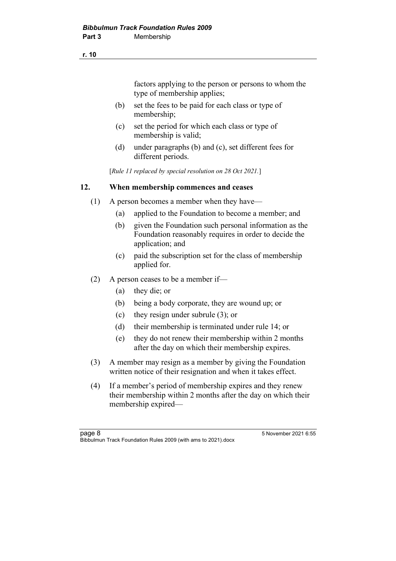factors applying to the person or persons to whom the type of membership applies;

- (b) set the fees to be paid for each class or type of membership;
- (c) set the period for which each class or type of membership is valid;
- (d) under paragraphs (b) and (c), set different fees for different periods.

[*Rule 11 replaced by special resolution on 28 Oct 2021.*]

### **12. When membership commences and ceases**

- (1) A person becomes a member when they have—
	- (a) applied to the Foundation to become a member; and
	- (b) given the Foundation such personal information as the Foundation reasonably requires in order to decide the application; and
	- (c) paid the subscription set for the class of membership applied for.
- (2) A person ceases to be a member if—
	- (a) they die; or
	- (b) being a body corporate, they are wound up; or
	- (c) they resign under subrule (3); or
	- (d) their membership is terminated under rule 14; or
	- (e) they do not renew their membership within 2 months after the day on which their membership expires.
- (3) A member may resign as a member by giving the Foundation written notice of their resignation and when it takes effect.
- (4) If a member's period of membership expires and they renew their membership within 2 months after the day on which their membership expired—

page 8 5 November 2021 6:55 Bibbulmun Track Foundation Rules 2009 (with ams to 2021).docx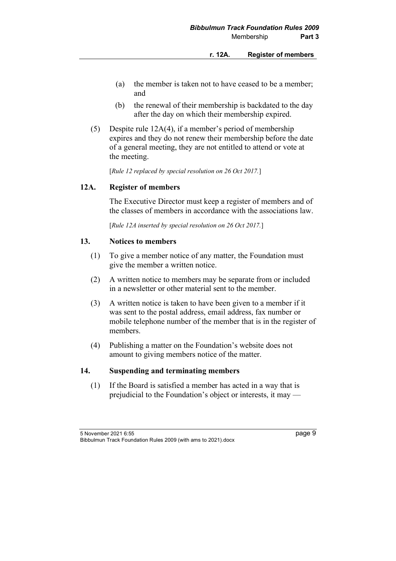- (a) the member is taken not to have ceased to be a member; and
- (b) the renewal of their membership is backdated to the day after the day on which their membership expired.
- (5) Despite rule 12A(4), if a member's period of membership expires and they do not renew their membership before the date of a general meeting, they are not entitled to attend or vote at the meeting.

[*Rule 12 replaced by special resolution on 26 Oct 2017.*]

### **12A. Register of members**

The Executive Director must keep a register of members and of the classes of members in accordance with the associations law.

[*Rule 12A inserted by special resolution on 26 Oct 2017.*]

### **13. Notices to members**

- (1) To give a member notice of any matter, the Foundation must give the member a written notice.
- (2) A written notice to members may be separate from or included in a newsletter or other material sent to the member.
- (3) A written notice is taken to have been given to a member if it was sent to the postal address, email address, fax number or mobile telephone number of the member that is in the register of members.
- (4) Publishing a matter on the Foundation's website does not amount to giving members notice of the matter.

## **14. Suspending and terminating members**

(1) If the Board is satisfied a member has acted in a way that is prejudicial to the Foundation's object or interests, it may —

<sup>5</sup> November 2021 6:55 page 9 Bibbulmun Track Foundation Rules 2009 (with ams to 2021).docx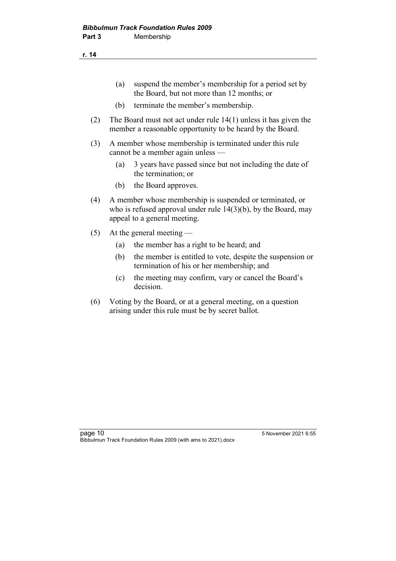- (a) suspend the member's membership for a period set by the Board, but not more than 12 months; or
- (b) terminate the member's membership.
- (2) The Board must not act under rule 14(1) unless it has given the member a reasonable opportunity to be heard by the Board.
- (3) A member whose membership is terminated under this rule cannot be a member again unless —
	- (a) 3 years have passed since but not including the date of the termination; or
	- (b) the Board approves.
- (4) A member whose membership is suspended or terminated, or who is refused approval under rule 14(3)(b), by the Board, may appeal to a general meeting.
- (5) At the general meeting
	- (a) the member has a right to be heard; and
	- (b) the member is entitled to vote, despite the suspension or termination of his or her membership; and
	- (c) the meeting may confirm, vary or cancel the Board's decision.
- (6) Voting by the Board, or at a general meeting, on a question arising under this rule must be by secret ballot.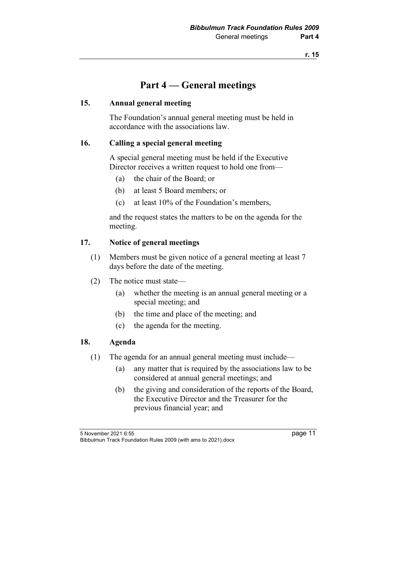# **Part 4 — General meetings**

## **15. Annual general meeting**

The Foundation's annual general meeting must be held in accordance with the associations law.

### **16. Calling a special general meeting**

A special general meeting must be held if the Executive Director receives a written request to hold one from—

- (a) the chair of the Board; or
- (b) at least 5 Board members; or
- (c) at least 10% of the Foundation's members,

and the request states the matters to be on the agenda for the meeting.

# **17. Notice of general meetings**

- (1) Members must be given notice of a general meeting at least 7 days before the date of the meeting.
- (2) The notice must state—
	- (a) whether the meeting is an annual general meeting or a special meeting; and
	- (b) the time and place of the meeting; and
	- (c) the agenda for the meeting.

#### **18. Agenda**

- (1) The agenda for an annual general meeting must include—
	- (a) any matter that is required by the associations law to be considered at annual general meetings; and
	- (b) the giving and consideration of the reports of the Board, the Executive Director and the Treasurer for the previous financial year; and

5 November 2021 6:55 page 11 Bibbulmun Track Foundation Rules 2009 (with ams to 2021).docx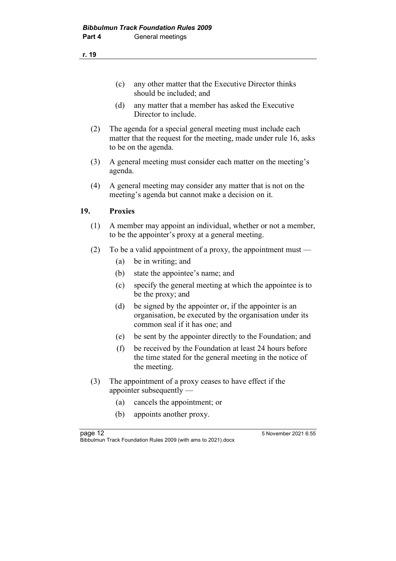- (d) any matter that a member has asked the Executive Director to include.
- (2) The agenda for a special general meeting must include each matter that the request for the meeting, made under rule 16, asks to be on the agenda.
- (3) A general meeting must consider each matter on the meeting's agenda.
- (4) A general meeting may consider any matter that is not on the meeting's agenda but cannot make a decision on it.

# **19. Proxies**

- (1) A member may appoint an individual, whether or not a member, to be the appointer's proxy at a general meeting.
- (2) To be a valid appointment of a proxy, the appointment must
	- (a) be in writing; and
	- (b) state the appointee's name; and
	- (c) specify the general meeting at which the appointee is to be the proxy; and
	- (d) be signed by the appointer or, if the appointer is an organisation, be executed by the organisation under its common seal if it has one; and
	- (e) be sent by the appointer directly to the Foundation; and
	- (f) be received by the Foundation at least 24 hours before the time stated for the general meeting in the notice of the meeting.
- (3) The appointment of a proxy ceases to have effect if the appointer subsequently —
	- (a) cancels the appointment; or
	- (b) appoints another proxy.

page 12 **5 November 2021 6:55** Bibbulmun Track Foundation Rules 2009 (with ams to 2021).docx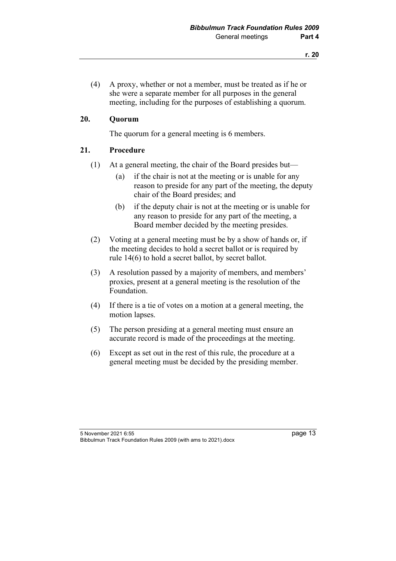(4) A proxy, whether or not a member, must be treated as if he or she were a separate member for all purposes in the general meeting, including for the purposes of establishing a quorum.

#### **20. Quorum**

The quorum for a general meeting is 6 members.

#### **21. Procedure**

- (1) At a general meeting, the chair of the Board presides but—
	- (a) if the chair is not at the meeting or is unable for any reason to preside for any part of the meeting, the deputy chair of the Board presides; and
	- (b) if the deputy chair is not at the meeting or is unable for any reason to preside for any part of the meeting, a Board member decided by the meeting presides.
- (2) Voting at a general meeting must be by a show of hands or, if the meeting decides to hold a secret ballot or is required by rule 14(6) to hold a secret ballot, by secret ballot.
- (3) A resolution passed by a majority of members, and members' proxies, present at a general meeting is the resolution of the Foundation.
- (4) If there is a tie of votes on a motion at a general meeting, the motion lapses.
- (5) The person presiding at a general meeting must ensure an accurate record is made of the proceedings at the meeting.
- (6) Except as set out in the rest of this rule, the procedure at a general meeting must be decided by the presiding member.

<sup>5</sup> November 2021 6:55 page 13 Bibbulmun Track Foundation Rules 2009 (with ams to 2021).docx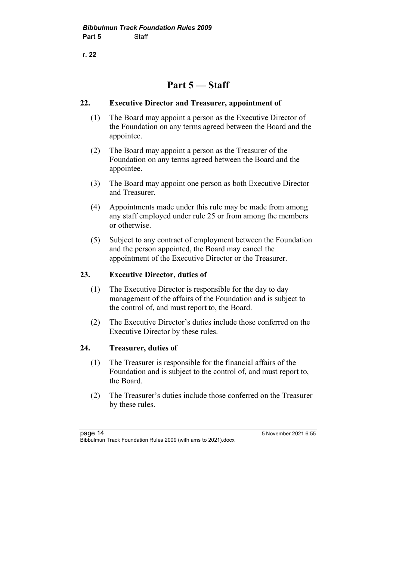# **Part 5 — Staff**

#### **22. Executive Director and Treasurer, appointment of**

- (1) The Board may appoint a person as the Executive Director of the Foundation on any terms agreed between the Board and the appointee.
- (2) The Board may appoint a person as the Treasurer of the Foundation on any terms agreed between the Board and the appointee.
- (3) The Board may appoint one person as both Executive Director and Treasurer.
- (4) Appointments made under this rule may be made from among any staff employed under rule 25 or from among the members or otherwise.
- (5) Subject to any contract of employment between the Foundation and the person appointed, the Board may cancel the appointment of the Executive Director or the Treasurer.

### **23. Executive Director, duties of**

- (1) The Executive Director is responsible for the day to day management of the affairs of the Foundation and is subject to the control of, and must report to, the Board.
- (2) The Executive Director's duties include those conferred on the Executive Director by these rules.

#### **24. Treasurer, duties of**

- (1) The Treasurer is responsible for the financial affairs of the Foundation and is subject to the control of, and must report to, the Board.
- (2) The Treasurer's duties include those conferred on the Treasurer by these rules.

page 14 **5 November 2021 6:55** Bibbulmun Track Foundation Rules 2009 (with ams to 2021).docx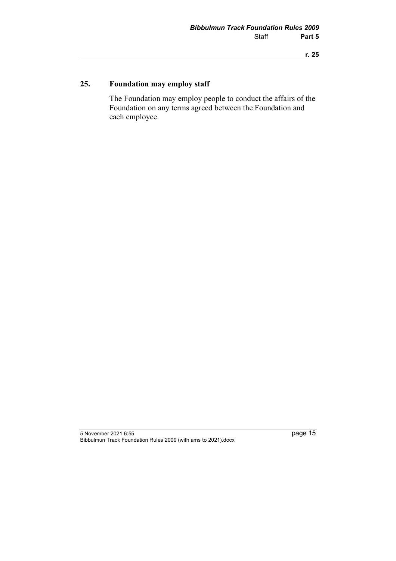# **25. Foundation may employ staff**

The Foundation may employ people to conduct the affairs of the Foundation on any terms agreed between the Foundation and each employee.

<sup>5</sup> November 2021 6:55 page 15 Bibbulmun Track Foundation Rules 2009 (with ams to 2021).docx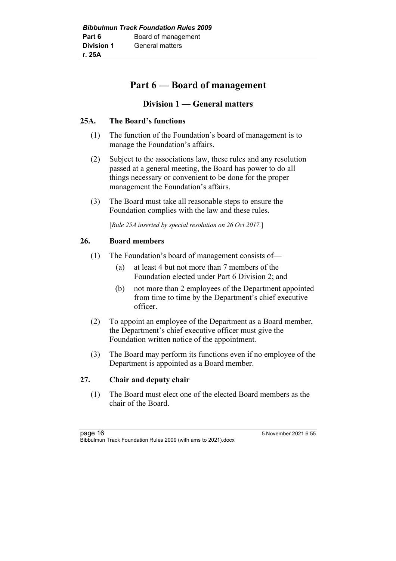# **Part 6 — Board of management**

# **Division 1 — General matters**

# **25A. The Board's functions**

- (1) The function of the Foundation's board of management is to manage the Foundation's affairs.
- (2) Subject to the associations law, these rules and any resolution passed at a general meeting, the Board has power to do all things necessary or convenient to be done for the proper management the Foundation's affairs.
- (3) The Board must take all reasonable steps to ensure the Foundation complies with the law and these rules.

[*Rule 25A inserted by special resolution on 26 Oct 2017.*]

# **26. Board members**

- (1) The Foundation's board of management consists of—
	- (a) at least 4 but not more than 7 members of the Foundation elected under Part 6 Division 2; and
	- (b) not more than 2 employees of the Department appointed from time to time by the Department's chief executive officer.
- (2) To appoint an employee of the Department as a Board member, the Department's chief executive officer must give the Foundation written notice of the appointment.
- (3) The Board may perform its functions even if no employee of the Department is appointed as a Board member.

# **27. Chair and deputy chair**

(1) The Board must elect one of the elected Board members as the chair of the Board.

page 16 **b** 5 November 2021 6:55 Bibbulmun Track Foundation Rules 2009 (with ams to 2021).docx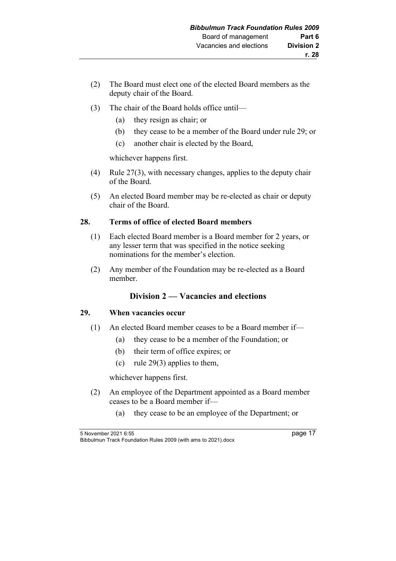- (2) The Board must elect one of the elected Board members as the deputy chair of the Board.
- (3) The chair of the Board holds office until—
	- (a) they resign as chair; or
	- (b) they cease to be a member of the Board under rule 29; or
	- (c) another chair is elected by the Board,

whichever happens first.

- (4) Rule 27(3), with necessary changes, applies to the deputy chair of the Board.
- (5) An elected Board member may be re-elected as chair or deputy chair of the Board.

# **28. Terms of office of elected Board members**

- (1) Each elected Board member is a Board member for 2 years, or any lesser term that was specified in the notice seeking nominations for the member's election.
- (2) Any member of the Foundation may be re-elected as a Board member.

# **Division 2 — Vacancies and elections**

#### **29. When vacancies occur**

- (1) An elected Board member ceases to be a Board member if—
	- (a) they cease to be a member of the Foundation; or
	- (b) their term of office expires; or
	- (c) rule 29(3) applies to them,

whichever happens first.

- (2) An employee of the Department appointed as a Board member ceases to be a Board member if—
	- (a) they cease to be an employee of the Department; or

5 November 2021 6:55 page 17 Bibbulmun Track Foundation Rules 2009 (with ams to 2021).docx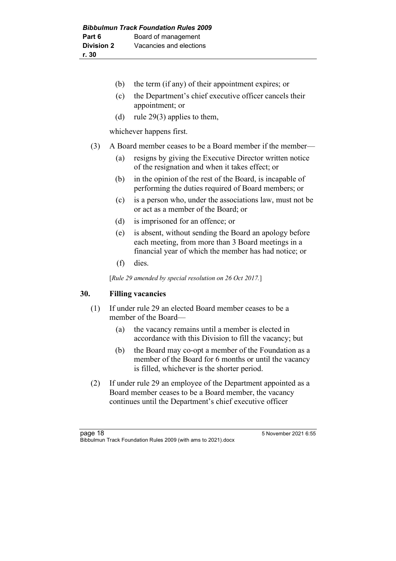- (b) the term (if any) of their appointment expires; or
- (c) the Department's chief executive officer cancels their appointment; or
- (d) rule 29(3) applies to them,

whichever happens first.

- (3) A Board member ceases to be a Board member if the member—
	- (a) resigns by giving the Executive Director written notice of the resignation and when it takes effect; or
	- (b) in the opinion of the rest of the Board, is incapable of performing the duties required of Board members; or
	- (c) is a person who, under the associations law, must not be or act as a member of the Board; or
	- (d) is imprisoned for an offence; or
	- (e) is absent, without sending the Board an apology before each meeting, from more than 3 Board meetings in a financial year of which the member has had notice; or
	- (f) dies.

[*Rule 29 amended by special resolution on 26 Oct 2017.*]

#### **30. Filling vacancies**

- (1) If under rule 29 an elected Board member ceases to be a member of the Board—
	- (a) the vacancy remains until a member is elected in accordance with this Division to fill the vacancy; but
	- (b) the Board may co-opt a member of the Foundation as a member of the Board for 6 months or until the vacancy is filled, whichever is the shorter period.
- (2) If under rule 29 an employee of the Department appointed as a Board member ceases to be a Board member, the vacancy continues until the Department's chief executive officer

page 18 **b** 18 and 2021 6:55 Bibbulmun Track Foundation Rules 2009 (with ams to 2021).docx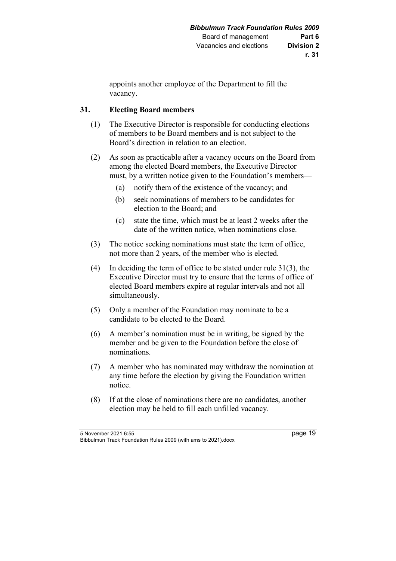appoints another employee of the Department to fill the vacancy.

# **31. Electing Board members**

- (1) The Executive Director is responsible for conducting elections of members to be Board members and is not subject to the Board's direction in relation to an election.
- (2) As soon as practicable after a vacancy occurs on the Board from among the elected Board members, the Executive Director must, by a written notice given to the Foundation's members—
	- (a) notify them of the existence of the vacancy; and
	- (b) seek nominations of members to be candidates for election to the Board; and
	- (c) state the time, which must be at least 2 weeks after the date of the written notice, when nominations close.
- (3) The notice seeking nominations must state the term of office, not more than 2 years, of the member who is elected.
- (4) In deciding the term of office to be stated under rule 31(3), the Executive Director must try to ensure that the terms of office of elected Board members expire at regular intervals and not all simultaneously.
- (5) Only a member of the Foundation may nominate to be a candidate to be elected to the Board.
- (6) A member's nomination must be in writing, be signed by the member and be given to the Foundation before the close of nominations.
- (7) A member who has nominated may withdraw the nomination at any time before the election by giving the Foundation written notice.
- (8) If at the close of nominations there are no candidates, another election may be held to fill each unfilled vacancy.

5 November 2021 6:55 page 19 Bibbulmun Track Foundation Rules 2009 (with ams to 2021).docx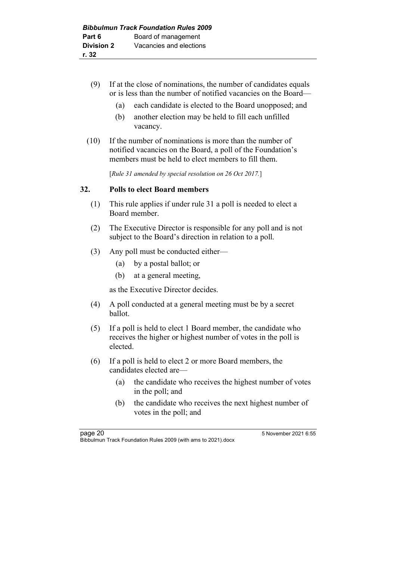- (9) If at the close of nominations, the number of candidates equals or is less than the number of notified vacancies on the Board—
	- (a) each candidate is elected to the Board unopposed; and
	- (b) another election may be held to fill each unfilled vacancy.
- (10) If the number of nominations is more than the number of notified vacancies on the Board, a poll of the Foundation's members must be held to elect members to fill them.

[*Rule 31 amended by special resolution on 26 Oct 2017.*]

#### **32. Polls to elect Board members**

- (1) This rule applies if under rule 31 a poll is needed to elect a Board member.
- (2) The Executive Director is responsible for any poll and is not subject to the Board's direction in relation to a poll.
- (3) Any poll must be conducted either—
	- (a) by a postal ballot; or
	- (b) at a general meeting,

as the Executive Director decides.

- (4) A poll conducted at a general meeting must be by a secret ballot.
- (5) If a poll is held to elect 1 Board member, the candidate who receives the higher or highest number of votes in the poll is elected.
- (6) If a poll is held to elect 2 or more Board members, the candidates elected are—
	- (a) the candidate who receives the highest number of votes in the poll; and
	- (b) the candidate who receives the next highest number of votes in the poll; and

page 20 5 November 2021 6:55 Bibbulmun Track Foundation Rules 2009 (with ams to 2021).docx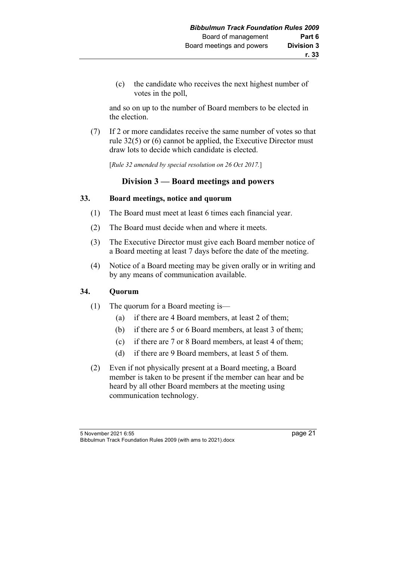(c) the candidate who receives the next highest number of votes in the poll,

and so on up to the number of Board members to be elected in the election.

(7) If 2 or more candidates receive the same number of votes so that rule 32(5) or (6) cannot be applied, the Executive Director must draw lots to decide which candidate is elected.

[*Rule 32 amended by special resolution on 26 Oct 2017.*]

# **Division 3 — Board meetings and powers**

### **33. Board meetings, notice and quorum**

- (1) The Board must meet at least 6 times each financial year.
- (2) The Board must decide when and where it meets.
- (3) The Executive Director must give each Board member notice of a Board meeting at least 7 days before the date of the meeting.
- (4) Notice of a Board meeting may be given orally or in writing and by any means of communication available.

# **34. Quorum**

- (1) The quorum for a Board meeting is—
	- (a) if there are 4 Board members, at least 2 of them;
	- (b) if there are 5 or 6 Board members, at least 3 of them;
	- (c) if there are 7 or 8 Board members, at least 4 of them;
	- (d) if there are 9 Board members, at least 5 of them.
- (2) Even if not physically present at a Board meeting, a Board member is taken to be present if the member can hear and be heard by all other Board members at the meeting using communication technology.

5 November 2021 6:55 page 21 Bibbulmun Track Foundation Rules 2009 (with ams to 2021).docx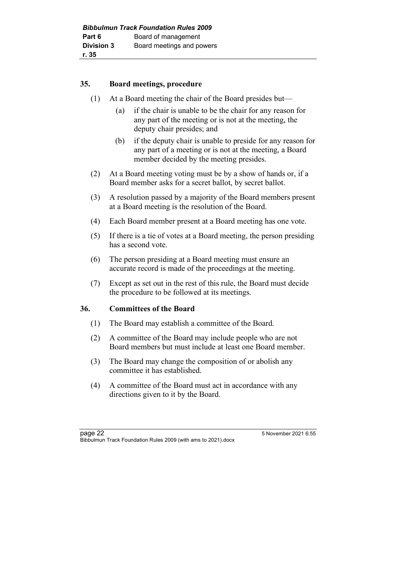#### **35. Board meetings, procedure**

- (1) At a Board meeting the chair of the Board presides but—
	- (a) if the chair is unable to be the chair for any reason for any part of the meeting or is not at the meeting, the deputy chair presides; and
	- (b) if the deputy chair is unable to preside for any reason for any part of a meeting or is not at the meeting, a Board member decided by the meeting presides.
- (2) At a Board meeting voting must be by a show of hands or, if a Board member asks for a secret ballot, by secret ballot.
- (3) A resolution passed by a majority of the Board members present at a Board meeting is the resolution of the Board.
- (4) Each Board member present at a Board meeting has one vote.
- (5) If there is a tie of votes at a Board meeting, the person presiding has a second vote.
- (6) The person presiding at a Board meeting must ensure an accurate record is made of the proceedings at the meeting.
- (7) Except as set out in the rest of this rule, the Board must decide the procedure to be followed at its meetings.

#### **36. Committees of the Board**

- (1) The Board may establish a committee of the Board.
- (2) A committee of the Board may include people who are not Board members but must include at least one Board member.
- (3) The Board may change the composition of or abolish any committee it has established.
- (4) A committee of the Board must act in accordance with any directions given to it by the Board.

page 22 5 November 2021 6:55 Bibbulmun Track Foundation Rules 2009 (with ams to 2021).docx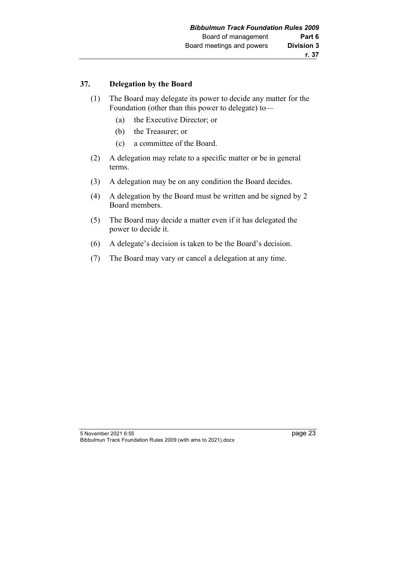#### **37. Delegation by the Board**

- (1) The Board may delegate its power to decide any matter for the Foundation (other than this power to delegate) to—
	- (a) the Executive Director; or
	- (b) the Treasurer; or
	- (c) a committee of the Board.
- (2) A delegation may relate to a specific matter or be in general terms.
- (3) A delegation may be on any condition the Board decides.
- (4) A delegation by the Board must be written and be signed by 2 Board members.
- (5) The Board may decide a matter even if it has delegated the power to decide it.
- (6) A delegate's decision is taken to be the Board's decision.
- (7) The Board may vary or cancel a delegation at any time.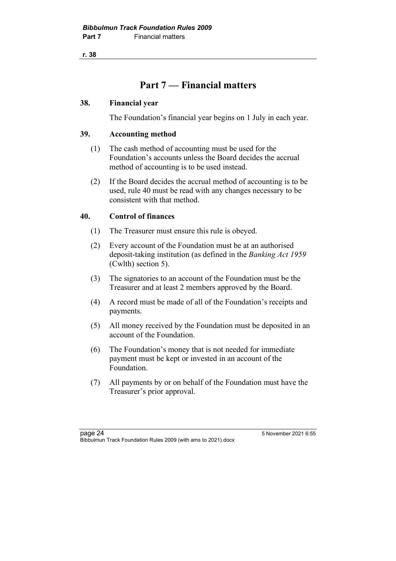# **Part 7 — Financial matters**

### **38. Financial year**

The Foundation's financial year begins on 1 July in each year.

# **39. Accounting method**

- (1) The cash method of accounting must be used for the Foundation's accounts unless the Board decides the accrual method of accounting is to be used instead.
- (2) If the Board decides the accrual method of accounting is to be used, rule 40 must be read with any changes necessary to be consistent with that method.

# **40. Control of finances**

- (1) The Treasurer must ensure this rule is obeyed.
- (2) Every account of the Foundation must be at an authorised deposit-taking institution (as defined in the *Banking Act 1959* (Cwlth) section 5).
- (3) The signatories to an account of the Foundation must be the Treasurer and at least 2 members approved by the Board.
- (4) A record must be made of all of the Foundation's receipts and payments.
- (5) All money received by the Foundation must be deposited in an account of the Foundation.
- (6) The Foundation's money that is not needed for immediate payment must be kept or invested in an account of the Foundation.
- (7) All payments by or on behalf of the Foundation must have the Treasurer's prior approval.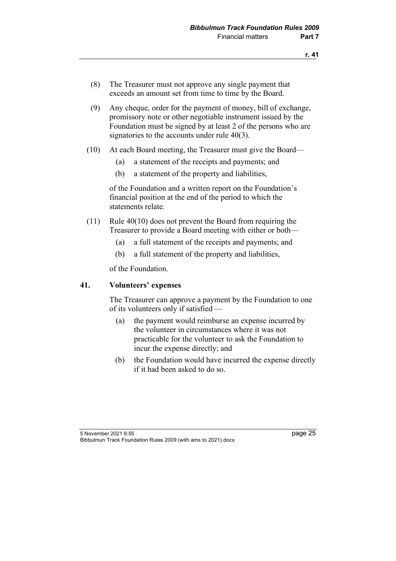- (8) The Treasurer must not approve any single payment that exceeds an amount set from time to time by the Board.
- (9) Any cheque, order for the payment of money, bill of exchange, promissory note or other negotiable instrument issued by the Foundation must be signed by at least 2 of the persons who are signatories to the accounts under rule 40(3).
- (10) At each Board meeting, the Treasurer must give the Board—
	- (a) a statement of the receipts and payments; and
	- (b) a statement of the property and liabilities,

of the Foundation and a written report on the Foundation's financial position at the end of the period to which the statements relate.

- (11) Rule 40(10) does not prevent the Board from requiring the Treasurer to provide a Board meeting with either or both—
	- (a) a full statement of the receipts and payments; and
	- (b) a full statement of the property and liabilities,

of the Foundation.

#### **41. Volunteers' expenses**

The Treasurer can approve a payment by the Foundation to one of its volunteers only if satisfied —

- (a) the payment would reimburse an expense incurred by the volunteer in circumstances where it was not practicable for the volunteer to ask the Foundation to incur the expense directly; and
- (b) the Foundation would have incurred the expense directly if it had been asked to do so.

<sup>5</sup> November 2021 6:55 page 25 Bibbulmun Track Foundation Rules 2009 (with ams to 2021).docx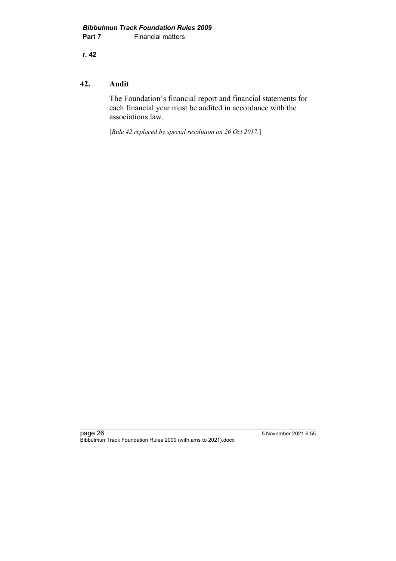#### **42. Audit**

The Foundation's financial report and financial statements for each financial year must be audited in accordance with the associations law.

[*Rule 42 replaced by special resolution on 26 Oct 2017.*]

page 26 5 November 2021 6:55 Bibbulmun Track Foundation Rules 2009 (with ams to 2021).docx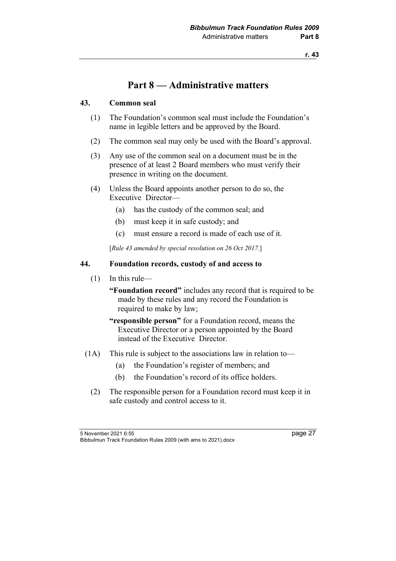# **Part 8 — Administrative matters**

## **43. Common seal**

- (1) The Foundation's common seal must include the Foundation's name in legible letters and be approved by the Board.
- (2) The common seal may only be used with the Board's approval.
- (3) Any use of the common seal on a document must be in the presence of at least 2 Board members who must verify their presence in writing on the document.
- (4) Unless the Board appoints another person to do so, the Executive Director—
	- (a) has the custody of the common seal; and
	- (b) must keep it in safe custody; and
	- (c) must ensure a record is made of each use of it.

[*Rule 43 amended by special resolution on 26 Oct 2017.*]

#### **44. Foundation records, custody of and access to**

(1) In this rule—

**"Foundation record"** includes any record that is required to be made by these rules and any record the Foundation is required to make by law;

- **"responsible person"** for a Foundation record, means the Executive Director or a person appointed by the Board instead of the Executive Director.
- (1A) This rule is subject to the associations law in relation to—
	- (a) the Foundation's register of members; and
	- (b) the Foundation's record of its office holders.
	- (2) The responsible person for a Foundation record must keep it in safe custody and control access to it.

5 November 2021 6:55 page 27 Bibbulmun Track Foundation Rules 2009 (with ams to 2021).docx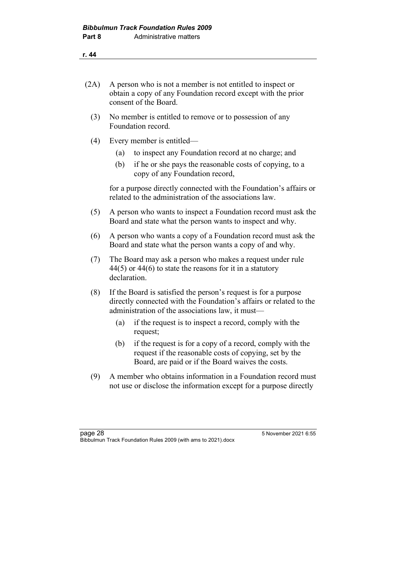- (2A) A person who is not a member is not entitled to inspect or obtain a copy of any Foundation record except with the prior consent of the Board.
	- (3) No member is entitled to remove or to possession of any Foundation record.
	- (4) Every member is entitled—
		- (a) to inspect any Foundation record at no charge; and
		- (b) if he or she pays the reasonable costs of copying, to a copy of any Foundation record,

for a purpose directly connected with the Foundation's affairs or related to the administration of the associations law.

- (5) A person who wants to inspect a Foundation record must ask the Board and state what the person wants to inspect and why.
- (6) A person who wants a copy of a Foundation record must ask the Board and state what the person wants a copy of and why.
- (7) The Board may ask a person who makes a request under rule 44(5) or 44(6) to state the reasons for it in a statutory declaration.
- (8) If the Board is satisfied the person's request is for a purpose directly connected with the Foundation's affairs or related to the administration of the associations law, it must—
	- (a) if the request is to inspect a record, comply with the request;
	- (b) if the request is for a copy of a record, comply with the request if the reasonable costs of copying, set by the Board, are paid or if the Board waives the costs.
- (9) A member who obtains information in a Foundation record must not use or disclose the information except for a purpose directly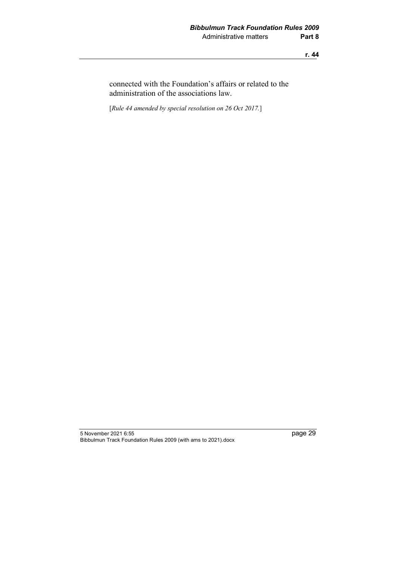connected with the Foundation's affairs or related to the administration of the associations law.

[*Rule 44 amended by special resolution on 26 Oct 2017.*]

<sup>5</sup> November 2021 6:55 page 29 Bibbulmun Track Foundation Rules 2009 (with ams to 2021).docx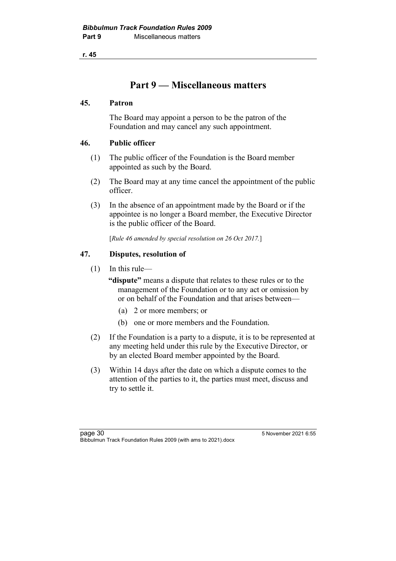# **Part 9 — Miscellaneous matters**

### **45. Patron**

The Board may appoint a person to be the patron of the Foundation and may cancel any such appointment.

# **46. Public officer**

- (1) The public officer of the Foundation is the Board member appointed as such by the Board.
- (2) The Board may at any time cancel the appointment of the public officer.
- (3) In the absence of an appointment made by the Board or if the appointee is no longer a Board member, the Executive Director is the public officer of the Board.

[*Rule 46 amended by special resolution on 26 Oct 2017.*]

### **47. Disputes, resolution of**

(1) In this rule—

**"dispute"** means a dispute that relates to these rules or to the management of the Foundation or to any act or omission by or on behalf of the Foundation and that arises between—

- (a) 2 or more members; or
- (b) one or more members and the Foundation.
- (2) If the Foundation is a party to a dispute, it is to be represented at any meeting held under this rule by the Executive Director, or by an elected Board member appointed by the Board.
- (3) Within 14 days after the date on which a dispute comes to the attention of the parties to it, the parties must meet, discuss and try to settle it.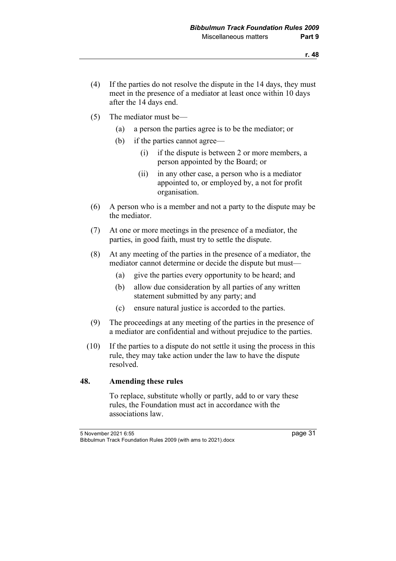- (4) If the parties do not resolve the dispute in the 14 days, they must meet in the presence of a mediator at least once within 10 days after the 14 days end.
- (5) The mediator must be—
	- (a) a person the parties agree is to be the mediator; or
	- (b) if the parties cannot agree—
		- (i) if the dispute is between 2 or more members, a person appointed by the Board; or
		- (ii) in any other case, a person who is a mediator appointed to, or employed by, a not for profit organisation.
- (6) A person who is a member and not a party to the dispute may be the mediator.
- (7) At one or more meetings in the presence of a mediator, the parties, in good faith, must try to settle the dispute.
- (8) At any meeting of the parties in the presence of a mediator, the mediator cannot determine or decide the dispute but must—
	- (a) give the parties every opportunity to be heard; and
	- (b) allow due consideration by all parties of any written statement submitted by any party; and
	- (c) ensure natural justice is accorded to the parties.
- (9) The proceedings at any meeting of the parties in the presence of a mediator are confidential and without prejudice to the parties.
- (10) If the parties to a dispute do not settle it using the process in this rule, they may take action under the law to have the dispute resolved.

#### **48. Amending these rules**

To replace, substitute wholly or partly, add to or vary these rules, the Foundation must act in accordance with the associations law.

5 November 2021 6:55 page 31 Bibbulmun Track Foundation Rules 2009 (with ams to 2021).docx